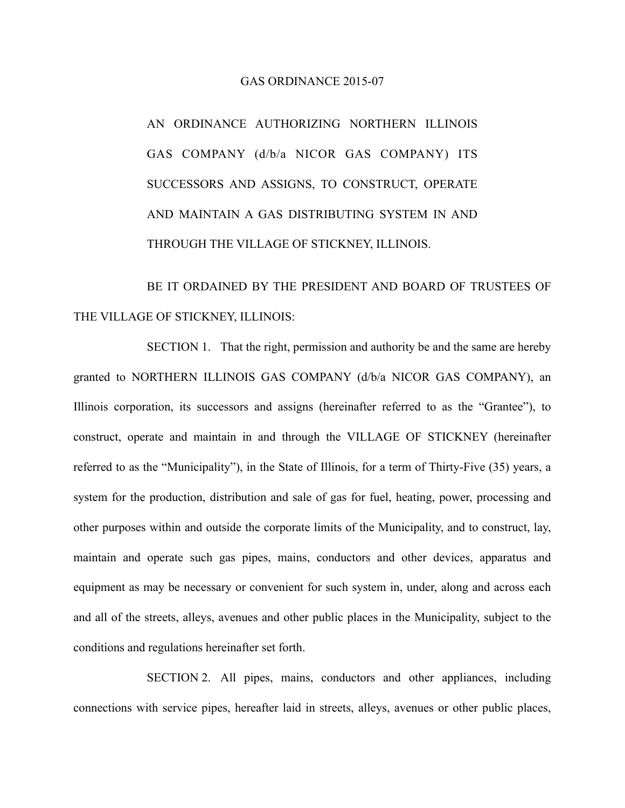## GAS ORDINANCE 2015-07

AN ORDINANCE AUTHORIZING NORTHERN ILLINOIS GAS COMPANY (d/b/a NICOR GAS COMPANY) ITS SUCCESSORS AND ASSIGNS, TO CONSTRUCT, OPERATE AND MAINTAIN A GAS DISTRIBUTING SYSTEM IN AND THROUGH THE VILLAGE OF STICKNEY, ILLINOIS.

BE IT ORDAINED BY THE PRESIDENT AND BOARD OF TRUSTEES OF THE VILLAGE OF STICKNEY, ILLINOIS:

SECTION 1. That the right, permission and authority be and the same are hereby granted to NORTHERN ILLINOIS GAS COMPANY (d/b/a NICOR GAS COMPANY), an Illinois corporation, its successors and assigns (hereinafter referred to as the "Grantee"), to construct, operate and maintain in and through the VILLAGE OF STICKNEY (hereinafter referred to as the "Municipality"), in the State of Illinois, for a term of Thirty-Five (35) years, a system for the production, distribution and sale of gas for fuel, heating, power, processing and other purposes within and outside the corporate limits of the Municipality, and to construct, lay, maintain and operate such gas pipes, mains, conductors and other devices, apparatus and equipment as may be necessary or convenient for such system in, under, along and across each and all of the streets, alleys, avenues and other public places in the Municipality, subject to the conditions and regulations hereinafter set forth.

SECTION 2. All pipes, mains, conductors and other appliances, including connections with service pipes, hereafter laid in streets, alleys, avenues or other public places,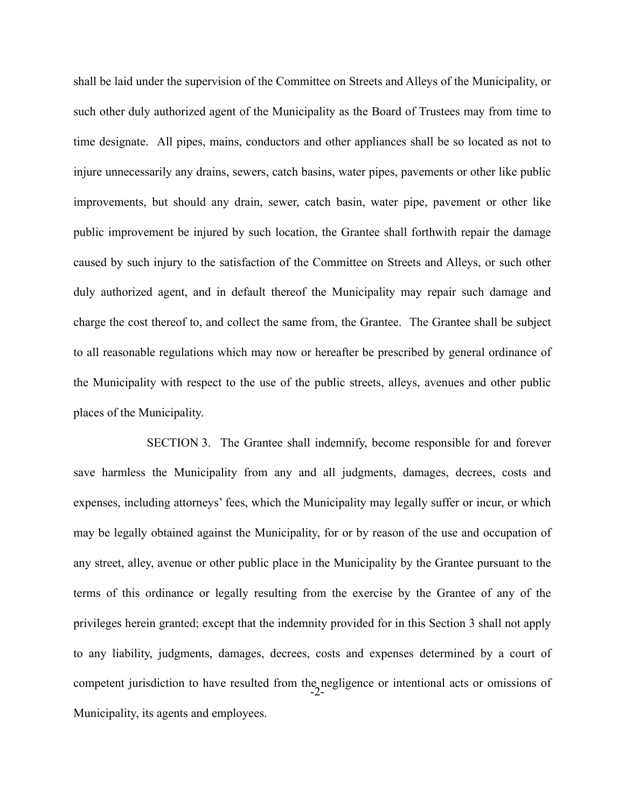shall be laid under the supervision of the Committee on Streets and Alleys of the Municipality, or such other duly authorized agent of the Municipality as the Board of Trustees may from time to time designate. All pipes, mains, conductors and other appliances shall be so located as not to injure unnecessarily any drains, sewers, catch basins, water pipes, pavements or other like public improvements, but should any drain, sewer, catch basin, water pipe, pavement or other like public improvement be injured by such location, the Grantee shall forthwith repair the damage caused by such injury to the satisfaction of the Committee on Streets and Alleys, or such other duly authorized agent, and in default thereof the Municipality may repair such damage and charge the cost thereof to, and collect the same from, the Grantee. The Grantee shall be subject to all reasonable regulations which may now or hereafter be prescribed by general ordinance of the Municipality with respect to the use of the public streets, alleys, avenues and other public places of the Municipality.

-2- SECTION 3. The Grantee shall indemnify, become responsible for and forever save harmless the Municipality from any and all judgments, damages, decrees, costs and expenses, including attorneys' fees, which the Municipality may legally suffer or incur, or which may be legally obtained against the Municipality, for or by reason of the use and occupation of any street, alley, avenue or other public place in the Municipality by the Grantee pursuant to the terms of this ordinance or legally resulting from the exercise by the Grantee of any of the privileges herein granted; except that the indemnity provided for in this Section 3 shall not apply to any liability, judgments, damages, decrees, costs and expenses determined by a court of competent jurisdiction to have resulted from the negligence or intentional acts or omissions of Municipality, its agents and employees.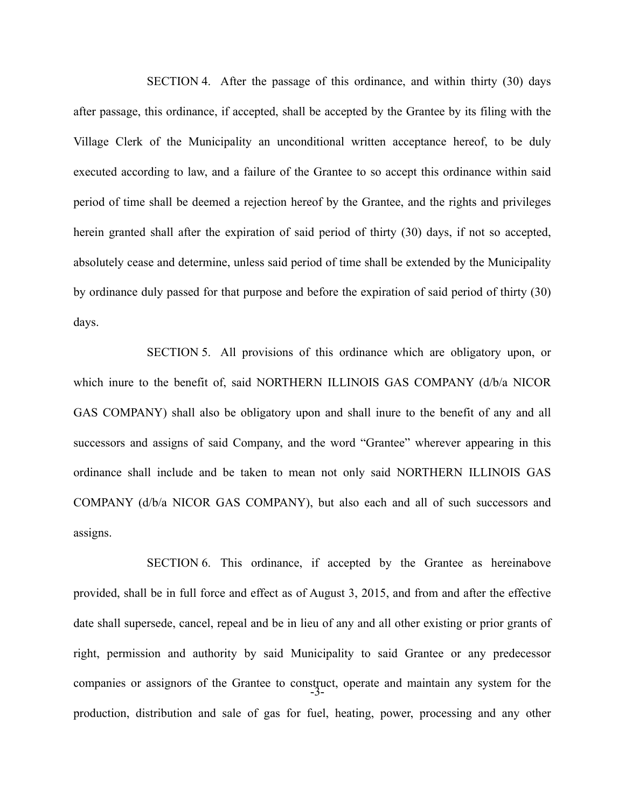SECTION 4. After the passage of this ordinance, and within thirty (30) days after passage, this ordinance, if accepted, shall be accepted by the Grantee by its filing with the Village Clerk of the Municipality an unconditional written acceptance hereof, to be duly executed according to law, and a failure of the Grantee to so accept this ordinance within said period of time shall be deemed a rejection hereof by the Grantee, and the rights and privileges herein granted shall after the expiration of said period of thirty (30) days, if not so accepted, absolutely cease and determine, unless said period of time shall be extended by the Municipality by ordinance duly passed for that purpose and before the expiration of said period of thirty (30) days.

SECTION 5. All provisions of this ordinance which are obligatory upon, or which inure to the benefit of, said NORTHERN ILLINOIS GAS COMPANY (d/b/a NICOR GAS COMPANY) shall also be obligatory upon and shall inure to the benefit of any and all successors and assigns of said Company, and the word "Grantee" wherever appearing in this ordinance shall include and be taken to mean not only said NORTHERN ILLINOIS GAS COMPANY (d/b/a NICOR GAS COMPANY), but also each and all of such successors and assigns.

-3- SECTION 6. This ordinance, if accepted by the Grantee as hereinabove provided, shall be in full force and effect as of August 3, 2015, and from and after the effective date shall supersede, cancel, repeal and be in lieu of any and all other existing or prior grants of right, permission and authority by said Municipality to said Grantee or any predecessor companies or assignors of the Grantee to construct, operate and maintain any system for the production, distribution and sale of gas for fuel, heating, power, processing and any other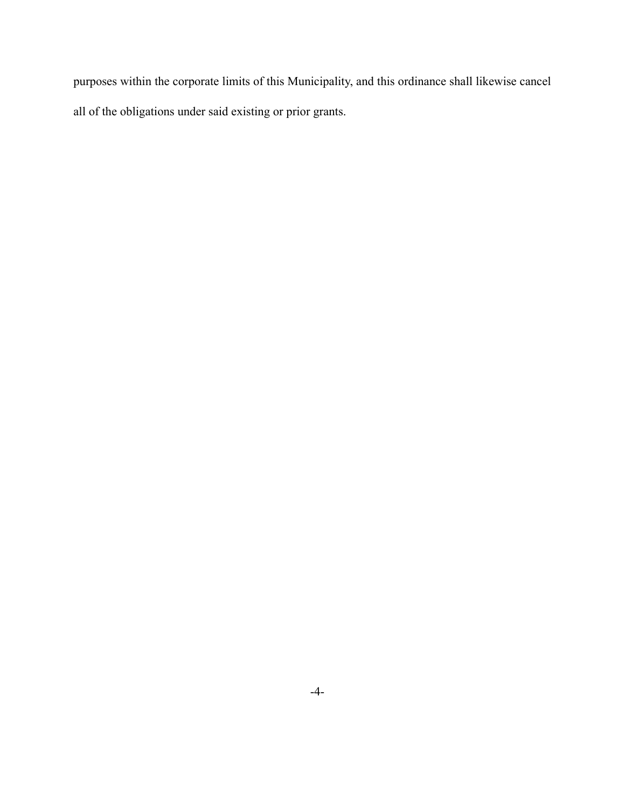purposes within the corporate limits of this Municipality, and this ordinance shall likewise cancel all of the obligations under said existing or prior grants.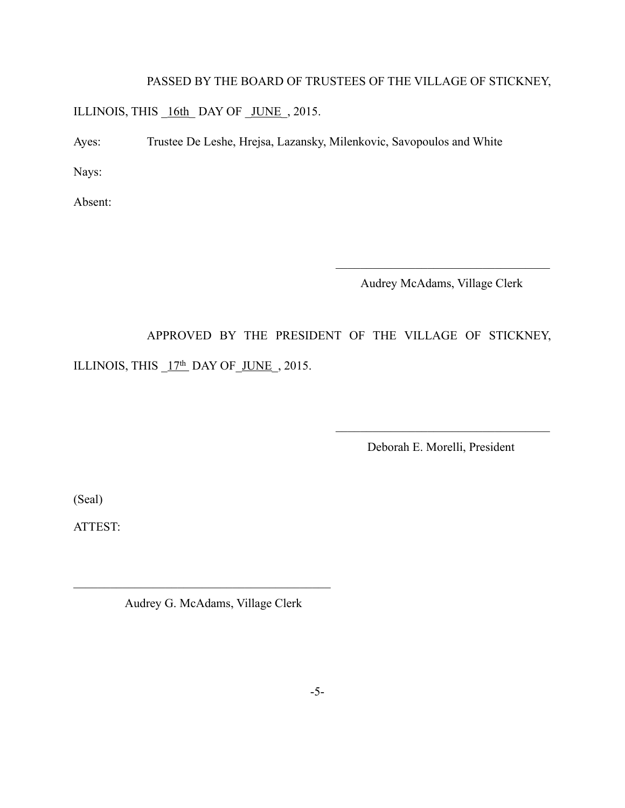## PASSED BY THE BOARD OF TRUSTEES OF THE VILLAGE OF STICKNEY,

ILLINOIS, THIS \_16th\_ DAY OF \_JUNE\_, 2015.

Ayes: Trustee De Leshe, Hrejsa, Lazansky, Milenkovic, Savopoulos and White

Nays:

Absent:

Audrey McAdams, Village Clerk

 $\mathcal{L}_\text{max}$ 

APPROVED BY THE PRESIDENT OF THE VILLAGE OF STICKNEY,

ILLINOIS, THIS  $17<sup>th</sup>$  DAY OF JUNE, 2015.

Deborah E. Morelli, President

 $\frac{1}{2}$  ,  $\frac{1}{2}$  ,  $\frac{1}{2}$  ,  $\frac{1}{2}$  ,  $\frac{1}{2}$  ,  $\frac{1}{2}$  ,  $\frac{1}{2}$  ,  $\frac{1}{2}$  ,  $\frac{1}{2}$  ,  $\frac{1}{2}$  ,  $\frac{1}{2}$  ,  $\frac{1}{2}$  ,  $\frac{1}{2}$  ,  $\frac{1}{2}$  ,  $\frac{1}{2}$  ,  $\frac{1}{2}$  ,  $\frac{1}{2}$  ,  $\frac{1}{2}$  ,  $\frac{1$ 

(Seal)

ATTEST:

Audrey G. McAdams, Village Clerk

 $\mathcal{L}_\text{max}$  , where  $\mathcal{L}_\text{max}$  and  $\mathcal{L}_\text{max}$  and  $\mathcal{L}_\text{max}$  and  $\mathcal{L}_\text{max}$